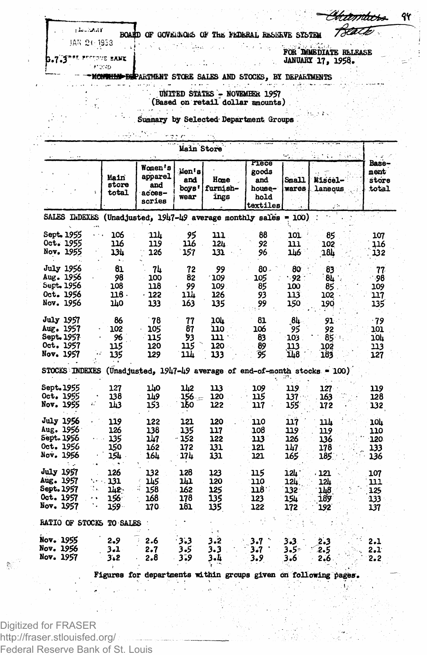shoothay JAN 21: 1953

**Prockb** 

BOARD OF GOVERNOIS OF THE FEDERAL RESERVE SYSTEM

IT PESSONE BANK

FOR DIMEDIATE RELEASE **JANUARY 17, 1958.** 

<del>mhri</del>

treath

94

vm <del>mhad dep</del>artment store sales and stocks, by departments

bu.

the end of the state

 $\sqrt{2}$  ,  $\sqrt{2}$ 

**UNITED STATES - NOVEMBER 1957** (Based on retail dollar amounts)

Summary by Selected Department Groups

|                                                                                                 |                                       |                                               | Main Store                        |                                   |                                                     |                                   | folke,<br>7. L.                                                                      |                                   |
|-------------------------------------------------------------------------------------------------|---------------------------------------|-----------------------------------------------|-----------------------------------|-----------------------------------|-----------------------------------------------------|-----------------------------------|--------------------------------------------------------------------------------------|-----------------------------------|
|                                                                                                 | Main<br>store<br>total                | Women's<br>apparel<br>and<br>acces-<br>sories | ilen i s<br>and<br>boys '<br>wear | Hone<br>furnish-<br>ings          | Piece<br>goods<br>and<br>house-<br>hold<br>textiles | <b>Snall</b><br>wares             | Miscel-<br>laneous                                                                   | Base-<br>ment<br>store<br>total   |
| SALES INDEXES (Unadjusted, 1947-49 average monthly sales = 100)                                 |                                       |                                               |                                   |                                   |                                                     |                                   |                                                                                      |                                   |
| Sept. 1955<br>Oct. 1955<br><b>Nov. 1955</b>                                                     | 106<br>116<br>134                     | บน<br>119<br>126                              | 95<br>116<br>157                  | m<br>12h<br>131                   | 88<br>92<br>96                                      | 101<br>111<br>146                 | 85<br>102<br>18).                                                                    | 107<br>116<br>132                 |
| <b>July 1956</b><br>Aug. 1956<br>Sept. 1956<br>Oct. 1956<br>Nov. 1956                           | 61<br>98<br>108<br>118 -<br>170       | 74<br>100<br>118<br>$-122$<br>133             | 72<br>82<br>99<br>11h<br>163      | 99<br>. 706<br>109.<br>126<br>135 | 80 -<br>105<br>85<br>93<br>99                       | 80<br>- 92<br>100<br>113<br>150   | 83<br>84<br>85<br>102<br>190                                                         | 77<br>- 98<br>109<br>117<br>135   |
| <b>July 1957</b><br><b>Aug. 1957</b><br><b>Sept. 1957</b><br>Oct. 1957<br><b>Nov. 1957</b>      | 86<br>102<br>96<br>115<br>135         | - 78<br>105<br>115<br>120<br>129              | 77<br>87<br>93<br>115<br>11h      | 10h<br>110<br>נננ<br>120<br>133   | 81<br>106<br>83<br>89<br>95                         | 8h<br>95<br>103<br>113<br>148     | 91<br>92<br>85.<br>102<br>183                                                        | $-79$<br>101<br>10կ<br>113<br>127 |
| <b>STOCKS INDEXES</b>                                                                           |                                       |                                               |                                   |                                   |                                                     |                                   | (Unadjusted, 1947-49 average of end-of-month stocks = 100)                           |                                   |
| Sept. 1955<br>Oct. 1955<br>Nov. 1955                                                            | 127<br>138<br>113                     | 140<br>119<br>153                             | 112<br>156 –<br>160               | 113<br>120<br>122                 | 109<br>115<br>117                                   | 119<br>137<br>155                 | 127<br>163<br>172                                                                    | 119<br>128<br>132                 |
| <b>July 1956</b><br>Aug. 1956<br>Sept. 1956<br>Oct. 1956<br>Nov. 1956                           | 119<br>126<br>135<br>150<br>154       | 122<br>138<br>147<br>162<br>164               | 121<br>135<br>- 152<br>172<br>17h | 120<br>117<br>122<br>131<br>131   | 110<br>108<br>113<br>121<br>121                     | 117<br>119<br>126<br>147<br>165   | 11h<br>119<br>136<br>178<br>185.                                                     | 10h<br>110<br>120<br>133<br>136   |
| <b>July 1957</b><br>Aug. 1957<br><b>Sept. 1957</b><br>÷.<br>Oct. 1957<br>٠.<br><b>Nov. 1957</b> | 126<br>131<br>1h2.<br>156.<br>$159 -$ | 132<br>145<br>158<br>168<br>170               | 128<br>141<br>162<br>178<br>181   | 123<br>120<br>125<br>135<br>135   | 115<br>110<br>ּ 118<br>123<br>122                   | 12L .<br>124<br>132<br>154<br>172 | - 121<br>12h<br>1hB<br>189<br>192                                                    | 107<br>111<br>125<br>133<br>137   |
| RATIO OF STOCKS TO SALES                                                                        |                                       |                                               |                                   |                                   |                                                     |                                   |                                                                                      |                                   |
| <b>Nov. 1955</b><br><b>Nov. 1956</b><br><b>Nov. 1957</b>                                        | 2.9<br>3.1<br>3.2                     | 2.6<br>2.7<br>2.8                             | 3:3<br>3.5<br>3.9                 | 3.2<br>3.3<br>3.4                 | 3.7<br>3.7<br>3.9                                   | 3.3<br>$3.5^{\circ}$<br>3.6       | 2.3<br>2.5<br>2.6<br>Figures for departments within groups given on following pages. | 2.1<br>2,1<br>2.2                 |

Digitized for FRASER http://fraser.stlouisfed.org/ Federal Reserve Bank of St. Louis

Ò,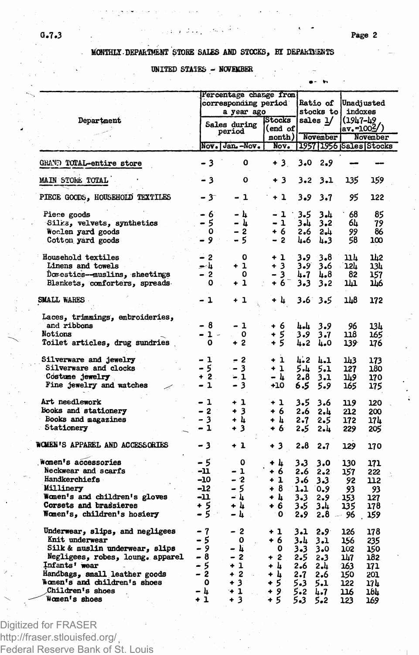## MONTHLY DEPARTMENT STORE SALES AND STOCKS, BY DEPARTMENTS

## UNITED STATES - NOVEMBER

|                                                                                                                                                                                                                                                | Percentage change from<br>corresponding period                           |                                                                | <b>Ratio of</b>                                             |                                                             | Unadiusted                                                                |                                                             |                                                              |  |
|------------------------------------------------------------------------------------------------------------------------------------------------------------------------------------------------------------------------------------------------|--------------------------------------------------------------------------|----------------------------------------------------------------|-------------------------------------------------------------|-------------------------------------------------------------|---------------------------------------------------------------------------|-------------------------------------------------------------|--------------------------------------------------------------|--|
| Department                                                                                                                                                                                                                                     | a year ago<br>Sales during                                               |                                                                | Stocks<br>(end of                                           |                                                             | stocks to<br>sales 1/                                                     |                                                             | indoxes<br>(1947–49<br>av.=1002/)                            |  |
|                                                                                                                                                                                                                                                |                                                                          | period<br>Nov. Jan. - Nov.                                     | nonth)<br>Nov <sub>e</sub>                                  |                                                             | November                                                                  |                                                             | November<br>1957 1956 Sales Stocks                           |  |
| GRAND TOTAL-entire store                                                                                                                                                                                                                       | - 3                                                                      | 0                                                              | +3                                                          | 3.0                                                         | 2.9                                                                       |                                                             |                                                              |  |
| <b>MAIN STORE TOTAL</b>                                                                                                                                                                                                                        | - 3                                                                      | ٥                                                              | +3                                                          | 3.2                                                         | 3.1                                                                       | 135                                                         | 159                                                          |  |
|                                                                                                                                                                                                                                                |                                                                          |                                                                |                                                             |                                                             |                                                                           |                                                             |                                                              |  |
| PIECE GOODS, HOUSEHOLD TEXTILES                                                                                                                                                                                                                | $-3^{-}$                                                                 | -1                                                             | $+1$                                                        | 3.9                                                         | 3.7                                                                       | 95                                                          | 122                                                          |  |
| Piece goods<br>Silks, velvets, synthetics<br>Woclen yard goods<br>Cotton yard goods                                                                                                                                                            | - 6<br>- 5<br>0.<br>- 9                                                  | - հ<br>- և<br>2<br>-<br>5                                      | - 1<br>- 1<br>+ 6<br>- 2                                    | 3.5<br>ىلە 3<br>2.6<br>4.6                                  | ار 3<br>$3 - 2$<br>2.4<br>4.3                                             | 68<br>64<br>99<br>58                                        | 85<br>79<br>86<br>100                                        |  |
| Household textiles<br>Linens and towels<br>Domestics-muslins, sheetings<br>Blankets, comforters, spreads                                                                                                                                       | - 2<br>للمح<br>o a<br>- 2<br>٥                                           | о<br>$+1$<br>0<br>+ 1                                          | + 1<br>$+3$<br>3<br>+ 6                                     | 3.9<br>3.9<br>4.7<br>3.3                                    | 3.8<br>3.6<br>և.8<br>3.2                                                  | 11.h<br>12L<br>82<br>141                                    | 1h2<br>13h<br>157<br>116                                     |  |
| SMALL WARES                                                                                                                                                                                                                                    | - 1                                                                      | + 1                                                            | + h                                                         | 3.6                                                         | 3.5                                                                       | 118                                                         | 172                                                          |  |
| Laces, trimmings, embroideries,<br>and ribbons<br>Notions<br>Toilet articles, drug sundries                                                                                                                                                    | - 8<br>- 1 -<br>٥                                                        | - 1<br>0<br>+ 2                                                | + 6<br>5<br>÷<br>+ 5                                        | باءبا<br>3.9<br>4.2                                         | 3.9<br>3.7<br>4.0                                                         | 96<br>118<br>139                                            | 13L<br>165<br>176                                            |  |
| Silverware and jewelry<br>Silverware and clocks<br>Costume jewelry<br>Fine jewelry and watches                                                                                                                                                 | - 1<br>- 5<br>+ 2<br>- 1                                                 | - 2<br>- 3<br>$-1$<br>- 3                                      | + 1<br>+ 1<br>- 4<br>+10                                    | 4.2<br>5.և<br>2.8<br>6.5                                    | 4.1<br>5.1<br>3.1<br>5.9                                                  | 143<br>127<br>149<br>165                                    | 173<br>180<br>170<br>175                                     |  |
| Art needlework<br>Books and stationery<br>Books and magazines<br>Stationery                                                                                                                                                                    | - 1<br>$-2$<br>- 3<br>- 1                                                | + 1<br>+ 3<br>+ L<br>3<br>۰                                    | + 1<br>+ 6<br>+ 4<br>+ 6                                    | 3.5<br>2.6<br>2.7<br>2.5                                    | 3.6<br>2.և<br>2.5<br>2. 4                                                 | 119<br>212<br>172<br>229                                    | 120<br>200<br>17 h<br>205                                    |  |
| WOMEN'S APPAREL AND ACCESSORIES                                                                                                                                                                                                                | - 3                                                                      | + 1                                                            | + 3                                                         | 2.8                                                         | 2.7                                                                       | 129                                                         | 170                                                          |  |
| Women's accessories<br>Neckwear and scarfs<br>Handkerchiefs<br>Millinery<br>Women's and children's gloves<br>Corsets and brassieres<br>Women's, children's hosiery                                                                             | $-5$<br>-11<br>-10<br>-12<br>-11<br>+ 5<br>- 5                           | 0<br>- 1<br>- 2<br>- 5<br>- 4<br>+ 4<br>- 4                    | + h<br>+ 6<br>+ 1<br>+ 8<br>+ h<br>+ 6<br>0                 | 3.3<br>2.6<br>3.6<br>$1 - 1$<br>3.3<br>3.5<br>2.9           | 3.0<br>2.2<br>3.3<br>0.9<br>2.9<br>ىلە 3<br>2.8                           | 130<br>157<br>92<br>93<br>153<br>135<br>96                  | 171<br>222<br>112<br>93<br>127<br>178<br>159                 |  |
| Underwear, slips, and negligees<br>Knit underwear<br>Silk & muslin underwear, slips<br>Negligees, robes, loung. apparel<br>Infants' wear<br>Handbags, small leather goods<br>Women's and children's shoes<br>Children's shoes<br>Women's shoes | - 7<br>5<br>- 9<br>- 8<br>- 5<br>$\overline{2}$<br>-<br>0<br>- հ<br>$+1$ | - 2<br>0<br>- 4<br>- 2<br>$+1$<br>$+2$<br>$+3$<br>$+1$<br>$+3$ | + 1<br>+ 6<br>0<br>$+2$<br>+ 4<br>+ h<br>+ 5<br>$+9$<br>+ 5 | 3.1<br>3.4<br>3.3<br>2.5<br>2.6<br>2.7<br>5.3<br>5.2<br>5.3 | $2.9^{\circ}$<br>3.1<br>3.0<br>$2 - 3$<br>2.4<br>2.6<br>5.1<br>4.7<br>5.2 | 126<br>156<br>102<br>147<br>163<br>150<br>122<br>116<br>123 | 178<br>235<br>150<br>182<br>171<br>201<br>17 h<br>18L<br>169 |  |

Digitized for FRASER http://fraser.stlouisfed.org/ Federal Reserve Bank of St. Louis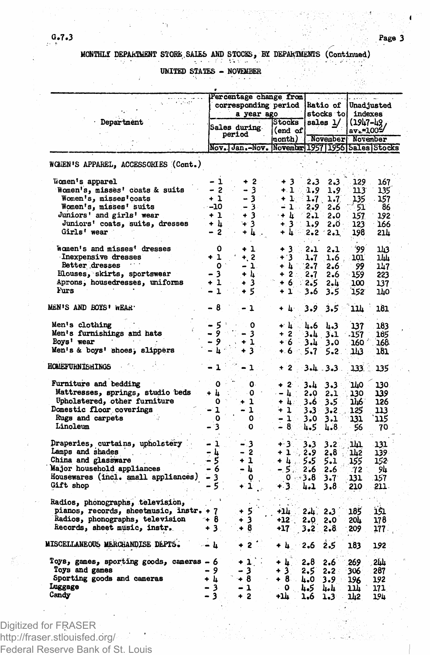MONTHLI DEPARTMENT STORE SALES AND STOCKS, BY DEPARTMENTS (Continued)

UNITED STATES - NOVEMBER

|                                          | Percentage change from<br>corresponding period     |                  |  |                   |                  | a Charles and         |                           |                       |  |
|------------------------------------------|----------------------------------------------------|------------------|--|-------------------|------------------|-----------------------|---------------------------|-----------------------|--|
|                                          |                                                    |                  |  |                   |                  | <b>Ratio of</b>       |                           | Unadjusted<br>indexes |  |
| Department                               | a year ago                                         |                  |  | Stocks            |                  | stocks to<br>sales 1/ |                           |                       |  |
|                                          |                                                    | Sales during     |  | (end of           |                  |                       | (1947–49<br>$av_* = 1005$ |                       |  |
|                                          |                                                    | period           |  | month)            |                  | November November     |                           |                       |  |
|                                          | Nov. Jan.-Nov. November 1957   1956   Sales Stocks |                  |  |                   |                  |                       |                           |                       |  |
| WOMEN'S APPAREL, ACCESSORIES (Cont.)     |                                                    |                  |  |                   |                  |                       |                           |                       |  |
| Women's apparel                          | - 1                                                | $+2$             |  | $+3$              | 2.3              | 2.3                   | 129                       | 167                   |  |
| Women's, misses' coats & suits           | - 2                                                | - 3              |  | $+1.5.$           | 1.9              | 1.9                   | 113                       | 135                   |  |
| Women's, misses'coats                    | $+1$                                               | - 31             |  | - + 1 -           | 1.7 <sub>1</sub> | 1.7                   | 135                       | 157                   |  |
| Women's, misses' suits                   | $-10$                                              | $-3$ .           |  | $\div$ 1.,        | 2.9              | 2.6                   | 51                        | 86                    |  |
| Juniors' and girls' wear                 | $+1$                                               | $+3 -$           |  | $+ E$             | 2.1              | 2.0                   | 157                       | 192                   |  |
| Juniors' coats, suits, dresses           | + հ                                                | ั⊬ 3             |  | $+3.3$            | -1.9             | $2.0 -$               | 123                       | 166                   |  |
| Girls' wear                              | - 2                                                | $+ \mathbf{k}$ . |  | - 41              |                  | $-2.2 - 2.1$          | 198                       | 214                   |  |
| women's and misses' dresses              | Ó                                                  | $+1$             |  | + 3               | $-2.1$           | 2.1                   | 99                        | 143                   |  |
| Inexpensive dresses                      | $+1$                                               | $+, 2.$          |  | $+3$              | 1.7              | $1.6$ .               | 101                       | ш                     |  |
| Better dresses                           | $\bullet$                                          | - 1.             |  | + h               | - 2.7            | 2.6                   | 99                        | 147                   |  |
| Elouses, skirts, sportswear              | - 3                                                | + 4 1            |  | $+2:$             | 2.7              | 2.6                   | 159                       | 223                   |  |
| Aprons, housedresses, uniforms           | + 1                                                | $+3$             |  | + 6               | 2.5              | 2.և                   | 100                       | 137                   |  |
| Furs                                     | $-1$                                               | + 51             |  | $\mathbf{1}$<br>۰ | 3.6              | 3.5                   | 152                       | 140                   |  |
| MEN'S AND BOYS' WEAR.                    | - 8                                                | 1                |  | + 4               | 3.9              | 3.5                   | 11h                       | 181                   |  |
| Men's clothing                           |                                                    | o                |  | v k               | 4.6              | 4.3                   | 137                       | 183                   |  |
| Men's furnishings and hats               | - 5 °<br>- 9                                       | - 3              |  | + 2               | 3.4              | 3.1                   | -157                      | 185                   |  |
| Boys' wear<br>of the company             |                                                    | - 1              |  | + 6               | 3.4              | 3.0                   | 160                       | 168                   |  |
| Men's & boys' shoes, slippers            |                                                    | + 3              |  | +. 6 −            | 5.7              | 5.2.                  | 3 ئىل                     | 181                   |  |
| <b>HOMEFURNISHINGS</b>                   | 1                                                  | 1                |  |                   |                  | -2 3.43.              | 133.                      | 135                   |  |
| Furniture and bedding                    | ٥                                                  | 0.               |  | $+2$              | 3.L              | 3.3                   | ٦W                        | 130                   |  |
| Mattresses, springs, studio beds         | + h                                                | o                |  | . – և             | 2.0              | 2.1                   | 130                       | 139                   |  |
| Upholstered, other furniture             | ٥                                                  | 1<br>٠           |  | + 4:              | 3.6              | 3.5                   | 1116                      | 126                   |  |
| Domestic floor coverings                 | - 1                                                | 1                |  | + 1               |                  | $3 - 3 - 3 - 2$       | 125                       | 113                   |  |
| Rugs and carpets                         | 0                                                  | $\mathbf{0}$     |  | $-1$              | 3.0              | 3.1                   | 131                       | 115                   |  |
| Linoleum                                 | 3                                                  | o                |  | $-8$              | 4.5              | 1.8                   | - 56                      | 70                    |  |
| Draperies, curtains, upholstery          | - 1                                                | - 3              |  | + 3.              | 3.3              | 3.2                   | ıщ                        | 131                   |  |
| Lamps and shades<br>i Perengan           | - 4                                                | $-2$             |  | +1, 2.9           |                  | 2,8                   | 142                       | 139.                  |  |
| China and glassware                      | - 5                                                | $+1$             |  | + 4…              | 5.5              | 5.1                   | 155                       | 152                   |  |
| Major household appliances               | - 6                                                | – L.             |  | $-5\%$            | 2.6              | 2.6                   | -72                       | 94                    |  |
| Housewares (incl. small appliances)      | - 3                                                | ٥                |  |                   | 0.3.8            | 3.7                   | 131                       | 157                   |  |
| Gift shop                                | -51                                                | $+1$             |  | $+3.$             | 4.1              | 3.8                   | 210                       | 211.                  |  |
| Radios, phonographs, television,         |                                                    |                  |  |                   |                  |                       |                           |                       |  |
| pianos, records, sheetmusic, instr. + 7  |                                                    | + 51             |  | +14               | 2.և.             | 2.3                   | 185                       | 151                   |  |
| Radios, phonographs, television          | ⊸+8                                                | + 3              |  | $+12.$            | 2.0              | 2.0                   | 20h                       | 178                   |  |
| Records, sheet music, instr.             | 3.<br>٠                                            | + 8              |  | $+17$             | 3.2 <sub>1</sub> | 2.8                   | 209                       | 177.                  |  |
| MISCELLANEOUS MERCHANDISE DEPTS.         |                                                    | 2                |  | + 4 -             | 2.6              | 2.5                   | 183                       | 192                   |  |
| Toys, games, sporting goods, cameras - 6 |                                                    | + 1              |  | + 4.              | 2.8              | 2.6                   | 269                       | 2hh                   |  |
| Toys and games                           | - 9                                                | з                |  | 3<br>٠            | 2.5              | $2 - 2$               | 306                       | 287                   |  |
|                                          |                                                    | -+ 8             |  | $+8$ .            | 4.0              | 3.9                   | 196                       | 192                   |  |
|                                          |                                                    |                  |  |                   |                  |                       |                           |                       |  |
| Sporting goods and cameras<br>Luggage    | + h<br>3                                           | - 1              |  | ∴ O               | 4.5              | باءبه                 | ıı                        | 171                   |  |

Digitized for FRASER http://fraser.stlouisfed.org/ Federal Reserve Bank of St. Louis

 $6.7.3$ 

t

Ń.